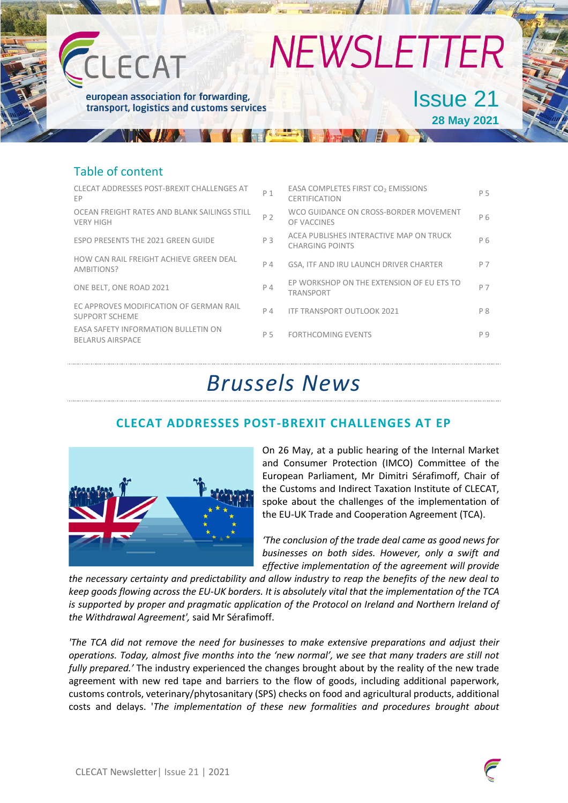

### Table of content

| <b>CLECAT ADDRESSES POST-BREXIT CHALLENGES AT</b><br>EP          | P <sub>1</sub> | EASA COMPLETES FIRST CO <sub>2</sub> EMISSIONS<br><b>CERTIFICATION</b> | P 5 |
|------------------------------------------------------------------|----------------|------------------------------------------------------------------------|-----|
| OCEAN FREIGHT RATES AND BLANK SAILINGS STILL<br><b>VERY HIGH</b> | P 2            | WCO GUIDANCE ON CROSS-BORDER MOVEMENT<br>OF VACCINES                   | P 6 |
| <b>ESPO PRESENTS THE 2021 GREEN GUIDE</b>                        | P 3            | ACEA PUBLISHES INTERACTIVE MAP ON TRUCK<br><b>CHARGING POINTS</b>      | P 6 |
| HOW CAN RAIL FREIGHT ACHIEVE GREEN DEAL<br>AMBITIONS?            | P 4            | GSA, ITF AND IRU LAUNCH DRIVER CHARTER                                 | P 7 |
| ONE BELT, ONE ROAD 2021                                          | $P_4$          | EP WORKSHOP ON THE EXTENSION OF EU ETS TO<br><b>TRANSPORT</b>          | P 7 |
| EC APPROVES MODIFICATION OF GERMAN RAIL<br><b>SUPPORT SCHEME</b> | P 4            | <b>ITF TRANSPORT OUTLOOK 2021</b>                                      | P 8 |
| EASA SAFETY INFORMATION BULLETIN ON<br><b>BELARUS AIRSPACE</b>   | P 5            | <b>FORTHCOMING EVENTS</b>                                              | P 9 |
|                                                                  |                |                                                                        |     |

## *Brussels News*

### **CLECAT ADDRESSES POST-BREXIT CHALLENGES AT EP**



On 26 May, at a public hearing of the Internal Market and Consumer Protection (IMCO) Committee of the European Parliament, Mr Dimitri Sérafimoff, Chair of the Customs and Indirect Taxation Institute of CLECAT, spoke about the challenges of the implementation of the EU-UK Trade and Cooperation Agreement (TCA).

*'The conclusion of the trade deal came as good news for businesses on both sides. However, only a swift and effective implementation of the agreement will provide* 

*the necessary certainty and predictability and allow industry to reap the benefits of the new deal to keep goods flowing across the EU-UK borders. It is absolutely vital that the implementation of the TCA is supported by proper and pragmatic application of the Protocol on Ireland and Northern Ireland of the Withdrawal Agreement',* said Mr Sérafimoff.

*'The TCA did not remove the need for businesses to make extensive preparations and adjust their operations. Today, almost five months into the 'new normal', we see that many traders are still not fully prepared.'* The industry experienced the changes brought about by the reality of the new trade agreement with new red tape and barriers to the flow of goods, including additional paperwork, customs controls, veterinary/phytosanitary (SPS) checks on food and agricultural products, additional costs and delays. '*The implementation of these new formalities and procedures brought about* 



P 5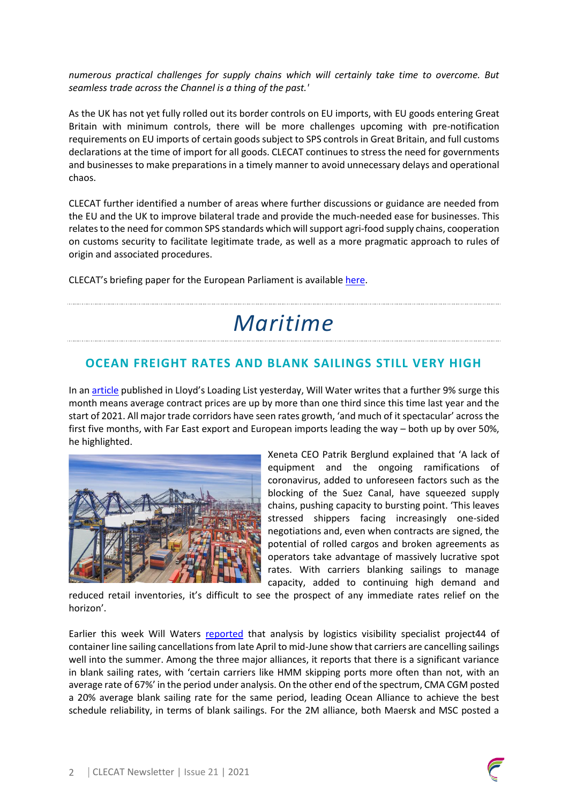*numerous practical challenges for supply chains which will certainly take time to overcome. But seamless trade across the Channel is a thing of the past.'*

As the UK has not yet fully rolled out its border controls on EU imports, with EU goods entering Great Britain with minimum controls, there will be more challenges upcoming with pre-notification requirements on EU imports of certain goods subject to SPS controls in Great Britain, and full customs declarations at the time of import for all goods. CLECAT continues to stress the need for governments and businesses to make preparations in a timely manner to avoid unnecessary delays and operational chaos.

CLECAT further identified a number of areas where further discussions or guidance are needed from the EU and the UK to improve bilateral trade and provide the much-needed ease for businesses. This relates to the need for common SPS standards which will support agri-food supply chains, cooperation on customs security to facilitate legitimate trade, as well as a more pragmatic approach to rules of origin and associated procedures.

CLECAT's briefing paper for the European Parliament is available [here.](https://www.clecat.org/media/clecat-briefing-on-eu-uk-tca-implementation.pdf)

# *Maritime*

### **OCEAN FREIGHT RATES AND BLANK SAILINGS STILL VERY HIGH**

In an **article** published in Lloyd's Loading List yesterday, Will Water writes that a further 9% surge this month means average contract prices are up by more than one third since this time last year and the start of 2021. All major trade corridors have seen rates growth, 'and much of it spectacular' across the first five months, with Far East export and European imports leading the way – both up by over 50%, he highlighted.



Xeneta CEO Patrik Berglund explained that 'A lack of equipment and the ongoing ramifications of coronavirus, added to unforeseen factors such as the blocking of the Suez Canal, have squeezed supply chains, pushing capacity to bursting point. 'This leaves stressed shippers facing increasingly one-sided negotiations and, even when contracts are signed, the potential of rolled cargos and broken agreements as operators take advantage of massively lucrative spot rates. With carriers blanking sailings to manage capacity, added to continuing high demand and

reduced retail inventories, it's difficult to see the prospect of any immediate rates relief on the horizon'.

Earlier this week Will Waters [reported](https://www.lloydsloadinglist.com/freight-directory/news/Blank-sailings-point-to-ocean-space-shortages-well-into-the-summer/79145.htm#.YLD9e43is2x) that analysis by logistics visibility specialist project44 of container line sailing cancellations from late April to mid-June show that carriers are cancelling sailings well into the summer. Among the three major alliances, it reports that there is a significant variance in blank sailing rates, with 'certain carriers like HMM skipping ports more often than not, with an average rate of 67%' in the period under analysis. On the other end of the spectrum, CMA CGM posted a 20% average blank sailing rate for the same period, leading Ocean Alliance to achieve the best schedule reliability, in terms of blank sailings. For the 2M alliance, both Maersk and MSC posted a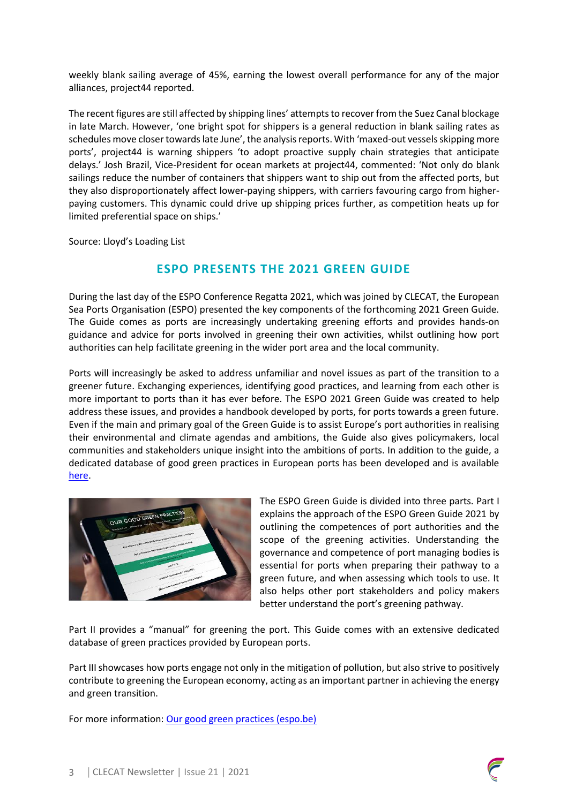weekly blank sailing average of 45%, earning the lowest overall performance for any of the major alliances, project44 reported.

The recent figures are still affected by shipping lines' attempts to recover from the Suez Canal blockage in late March. However, 'one bright spot for shippers is a general reduction in blank sailing rates as schedules move closer towards late June', the analysisreports. With 'maxed-out vessels skipping more ports', project44 is warning shippers 'to adopt proactive supply chain strategies that anticipate delays.' Josh Brazil, Vice-President for ocean markets at project44, commented: 'Not only do blank sailings reduce the number of containers that shippers want to ship out from the affected ports, but they also disproportionately affect lower-paying shippers, with carriers favouring cargo from higherpaying customers. This dynamic could drive up shipping prices further, as competition heats up for limited preferential space on ships.'

Source: Lloyd's Loading List

### **ESPO PRESENTS THE 2021 GREEN GUIDE**

During the last day of the ESPO Conference Regatta 2021, which was joined by CLECAT, the European Sea Ports Organisation (ESPO) presented the key components of the forthcoming 2021 Green Guide. The Guide comes as ports are increasingly undertaking greening efforts and provides hands-on guidance and advice for ports involved in greening their own activities, whilst outlining how port authorities can help facilitate greening in the wider port area and the local community.

Ports will increasingly be asked to address unfamiliar and novel issues as part of the transition to a greener future. Exchanging experiences, identifying good practices, and learning from each other is more important to ports than it has ever before. The ESPO 2021 Green Guide was created to help address these issues, and provides a handbook developed by ports, for ports towards a green future. Even if the main and primary goal of the Green Guide is to assist Europe's port authorities in realising their environmental and climate agendas and ambitions, the Guide also gives policymakers, local communities and stakeholders unique insight into the ambitions of ports. In addition to the guide, a dedicated database of good green practices in European ports has been developed and is available [here.](https://www.espo.be/practices)



The ESPO Green Guide is divided into three parts. Part I explains the approach of the ESPO Green Guide 2021 by outlining the competences of port authorities and the scope of the greening activities. Understanding the governance and competence of port managing bodies is essential for ports when preparing their pathway to a green future, and when assessing which tools to use. It also helps other port stakeholders and policy makers better understand the port's greening pathway.

Part II provides a "manual" for greening the port. This Guide comes with an extensive dedicated database of green practices provided by European ports.

Part III showcases how ports engage not only in the mitigation of pollution, but also strive to positively contribute to greening the European economy, acting as an important partner in achieving the energy and green transition.

For more information: [Our good green practices \(espo.be\)](https://www.espo.be/practices)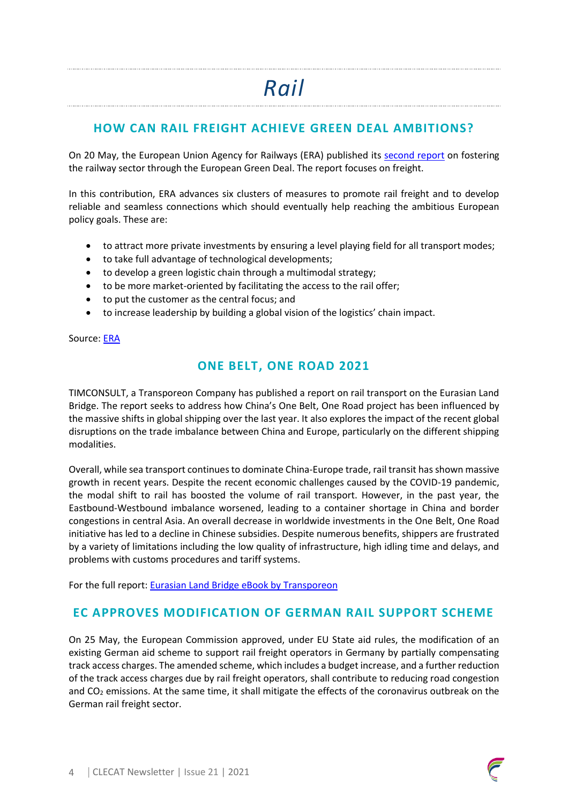### **HOW CAN RAIL FREIGHT ACHIEVE GREEN DEAL AMBITIONS?**

On 20 May, the European Union Agency for Railways (ERA) published its [second report](https://www.era.europa.eu/sites/default/files/events-news/docs/fostering_the_railway_sector_through_the_european_green_deal_-_freight_p.pdf) on fostering the railway sector through the European Green Deal. The report focuses on freight.

In this contribution, ERA advances six clusters of measures to promote rail freight and to develop reliable and seamless connections which should eventually help reaching the ambitious European policy goals. These are:

- to attract more private investments by ensuring a level playing field for all transport modes;
- to take full advantage of technological developments;
- to develop a green logistic chain through a multimodal strategy;
- to be more market-oriented by facilitating the access to the rail offer;
- to put the customer as the central focus; and
- to increase leadership by building a global vision of the logistics' chain impact.

Source: [ERA](https://www.era.europa.eu/sites/default/files/events-news/docs/fostering_the_railway_sector_through_the_european_green_deal_-_freight_p.pdf)

### **ONE BELT, ONE ROAD 2021**

TIMCONSULT, a Transporeon Company has published a report on rail transport on the Eurasian Land Bridge. The report seeks to address how China's One Belt, One Road project has been influenced by the massive shifts in global shipping over the last year. It also explores the impact of the recent global disruptions on the trade imbalance between China and Europe, particularly on the different shipping modalities.

Overall, while sea transport continues to dominate China-Europe trade, rail transit has shown massive growth in recent years. Despite the recent economic challenges caused by the COVID-19 pandemic, the modal shift to rail has boosted the volume of rail transport. However, in the past year, the Eastbound-Westbound imbalance worsened, leading to a container shortage in China and border congestions in central Asia. An overall decrease in worldwide investments in the One Belt, One Road initiative has led to a decline in Chinese subsidies. Despite numerous benefits, shippers are frustrated by a variety of limitations including the low quality of infrastructure, high idling time and delays, and problems with customs procedures and tariff systems.

For the full report: **Eurasian Land Bridge eBook by Transporeon** 

### **EC APPROVES MODIFICATION OF GERMAN RAIL SUPPORT SCHEME**

On 25 May, the European Commission approved, under EU State aid rules, the modification of an existing German aid scheme to support rail freight operators in Germany by partially compensating track access charges. The amended scheme, which includes a budget increase, and a further reduction of the track access charges due by rail freight operators, shall contribute to reducing road congestion and  $CO<sub>2</sub>$  emissions. At the same time, it shall mitigate the effects of the coronavirus outbreak on the German rail freight sector.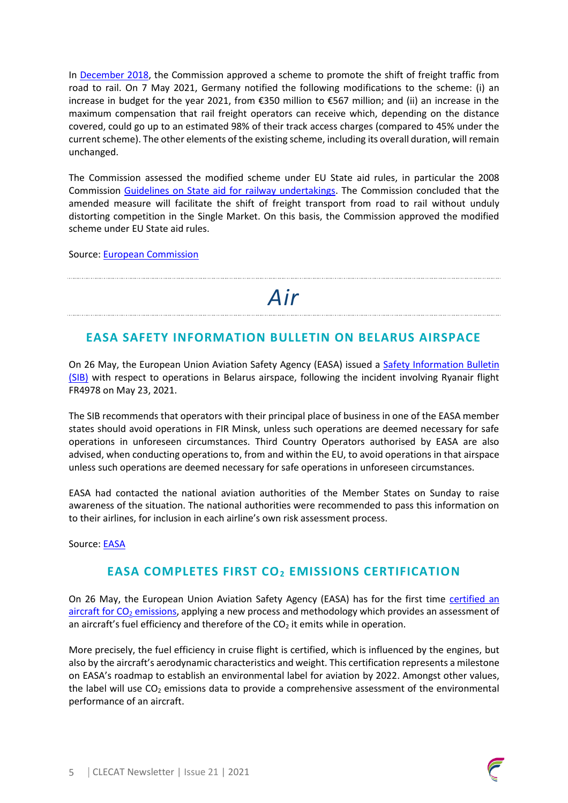In [December 2018,](https://ec.europa.eu/commission/presscorner/detail/en/ip_18_6747) the Commission approved a scheme to promote the shift of freight traffic from road to rail. On 7 May 2021, Germany notified the following modifications to the scheme: (i) an increase in budget for the year 2021, from €350 million to €567 million; and (ii) an increase in the maximum compensation that rail freight operators can receive which, depending on the distance covered, could go up to an estimated 98% of their track access charges (compared to 45% under the current scheme). The other elements of the existing scheme, including its overall duration, will remain unchanged.

The Commission assessed the modified scheme under EU State aid rules, in particular the 2008 Commission [Guidelines on State aid for railway undertakings.](http://eur-lex.europa.eu/legal-content/EN/ALL/?uri=CELEX:52008XC0722%2804%29) The Commission concluded that the amended measure will facilitate the shift of freight transport from road to rail without unduly distorting competition in the Single Market. On this basis, the Commission approved the modified scheme under EU State aid rules.

Source: [European Commission](https://ec.europa.eu/commission/presscorner/detail/en/IP_21_2610)

# *Air*

### **EASA SAFETY INFORMATION BULLETIN ON BELARUS AIRSPACE**

On 26 May, the European Union Aviation Safety Agency (EASA) issued a Safety Information Bulletin [\(SIB\)](https://ad.easa.europa.eu/ad/2021-10) with respect to operations in Belarus airspace, following the incident involving Ryanair flight FR4978 on May 23, 2021.

The SIB recommends that operators with their principal place of business in one of the EASA member states should avoid operations in FIR Minsk, unless such operations are deemed necessary for safe operations in unforeseen circumstances. Third Country Operators authorised by EASA are also advised, when conducting operations to, from and within the EU, to avoid operations in that airspace unless such operations are deemed necessary for safe operations in unforeseen circumstances.

EASA had contacted the national aviation authorities of the Member States on Sunday to raise awareness of the situation. The national authorities were recommended to pass this information on to their airlines, for inclusion in each airline's own risk assessment process.

Source: [EASA](https://www.easa.europa.eu/newsroom-and-events/news/easa-issues-safety-information-bulletin-operations-belarus-airspace)

### **EASA COMPLETES FIRST CO<sup>2</sup> EMISSIONS CERTIFICATION**

On 26 May, the European Union Aviation Safety Agency (EASA) has for the first time [certified an](https://www.easa.europa.eu/document-library/type-certificates/aircraft-cs-25-cs-22-cs-23-cs-vla-cs-lsa/easaa004)  aircraft for  $CO<sub>2</sub>$  emissions, applying a new process and methodology which provides an assessment of an aircraft's fuel efficiency and therefore of the  $CO<sub>2</sub>$  it emits while in operation.

More precisely, the fuel efficiency in cruise flight is certified, which is influenced by the engines, but also by the aircraft's aerodynamic characteristics and weight. This certification represents a milestone on EASA's roadmap to establish an environmental label for aviation by 2022. Amongst other values, the label will use  $CO<sub>2</sub>$  emissions data to provide a comprehensive assessment of the environmental performance of an aircraft.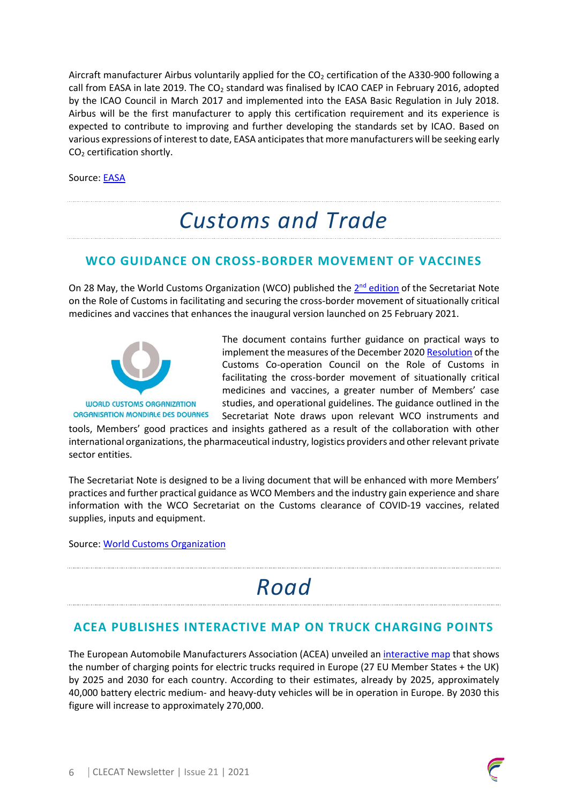Aircraft manufacturer Airbus voluntarily applied for the  $CO<sub>2</sub>$  certification of the A330-900 following a call from EASA in late 2019. The  $CO<sub>2</sub>$  standard was finalised by ICAO CAEP in February 2016, adopted by the ICAO Council in March 2017 and implemented into the EASA Basic Regulation in July 2018. Airbus will be the first manufacturer to apply this certification requirement and its experience is expected to contribute to improving and further developing the standards set by ICAO. Based on various expressions of interest to date, EASA anticipates that more manufacturers will be seeking early CO<sup>2</sup> certification shortly.

Source: [EASA](https://www.easa.europa.eu/newsroom-and-events/press-releases/easa-completes-first-co2-emissions-certification-airbus-a330-900)

## *Customs and Trade*

### **WCO GUIDANCE ON CROSS-BORDER MOVEMENT OF VACCINES**

On 28 May, the World Customs Organization (WCO) published the 2<sup>nd</sup> [edition](http://www.wcoomd.org/-/media/wco/public/global/pdf/topics/facilitation/activities-and-programmes/natural-disaster/covid_19_vaccine/secretariat-note-vaccines_en.pdf?la=en) of the Secretariat Note on the Role of Customs in facilitating and securing the cross-border movement of situationally critical medicines and vaccines that enhances the inaugural version launched on 25 February 2021.



The document contains further guidance on practical ways to implement the measures of the December 2020 [Resolution](http://www.wcoomd.org/-/media/wco/public/global/pdf/about-us/legal-instruments/resolutions/resolution-facilitating-cross-border-movement-of-situationally-critical-medicines-and-vaccines.pdf?la=en) of the Customs Co-operation Council on the Role of Customs in facilitating the cross-border movement of situationally critical medicines and vaccines, a greater number of Members' case studies, and operational guidelines. The guidance outlined in the Secretariat Note draws upon relevant WCO instruments and

tools, Members' good practices and insights gathered as a result of the collaboration with other international organizations, the pharmaceutical industry, logistics providers and other relevant private sector entities.

The Secretariat Note is designed to be a living document that will be enhanced with more Members' practices and further practical guidance as WCO Members and the industry gain experience and share information with the WCO Secretariat on the Customs clearance of COVID-19 vaccines, related supplies, inputs and equipment.

Source: [World Customs Organization](http://www.wcoomd.org/en/media/newsroom/2021/may/the-wco-secretariat-note-on-the-cross-border-movement-of-vaccines.aspx)

# *Road*

### **ACEA PUBLISHES INTERACTIVE MAP ON TRUCK CHARGING POINTS**

The European Automobile Manufacturers Association (ACEA) unveiled a[n interactive map](https://www.acea.be/news/article/interactive-map-truck-charging-points-needed-in-europe-by-2025-and-2030-per) that shows the number of charging points for electric trucks required in Europe (27 EU Member States + the UK) by 2025 and 2030 for each country. According to their estimates, already by 2025, approximately 40,000 battery electric medium‐ and heavy‐duty vehicles will be in operation in Europe. By 2030 this figure will increase to approximately 270,000.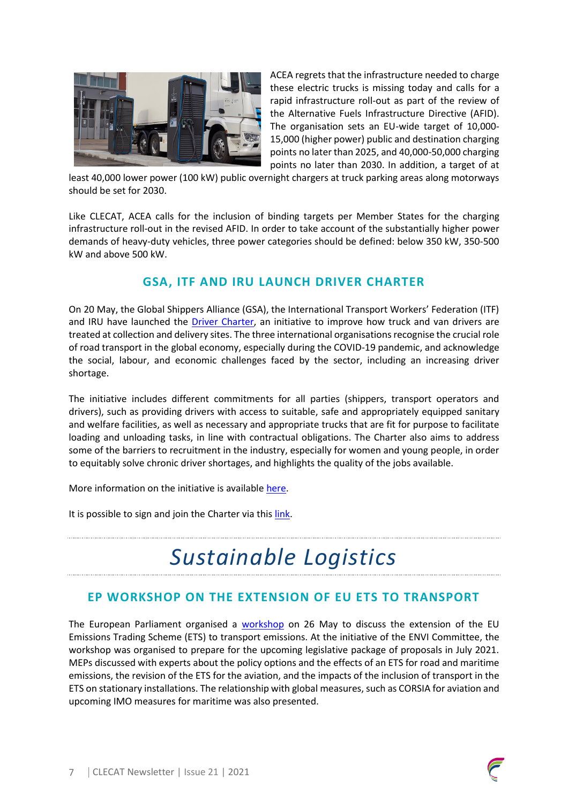

ACEA regrets that the infrastructure needed to charge these electric trucks is missing today and calls for a rapid infrastructure roll-out as part of the review of the Alternative Fuels Infrastructure Directive (AFID). The organisation sets an EU-wide target of 10,000‐ 15,000 (higher power) public and destination charging points no later than 2025, and 40,000‐50,000 charging points no later than 2030. In addition, a target of at

least 40,000 lower power (100 kW) public overnight chargers at truck parking areas along motorways should be set for 2030.

Like CLECAT, ACEA calls for the inclusion of binding targets per Member States for the charging infrastructure roll-out in the revised AFID. In order to take account of the substantially higher power demands of heavy‐duty vehicles, three power categories should be defined: below 350 kW, 350‐500 kW and above 500 kW.

### **GSA, ITF AND IRU LAUNCH DRIVER CHARTER**

On 20 May, the Global Shippers Alliance (GSA), the International Transport Workers' Federation (ITF) and IRU have launched the [Driver Charter,](https://support-our-drivers.org/charter/) an initiative to improve how truck and van drivers are treated at collection and delivery sites. The three international organisations recognise the crucial role of road transport in the global economy, especially during the COVID-19 pandemic, and acknowledge the social, labour, and economic challenges faced by the sector, including an increasing driver shortage.

The initiative includes different commitments for all parties (shippers, transport operators and drivers), such as providing drivers with access to suitable, safe and appropriately equipped sanitary and welfare facilities, as well as necessary and appropriate trucks that are fit for purpose to facilitate loading and unloading tasks, in line with contractual obligations. The Charter also aims to address some of the barriers to recruitment in the industry, especially for women and young people, in order to equitably solve chronic driver shortages, and highlights the quality of the jobs available.

More information on the initiative is available [here.](https://support-our-drivers.org/)

It is possible to sign and join the Charter via thi[s link.](https://support-our-drivers.org/join-the-charter/)

## *Sustainable Logistics*

### **EP WORKSHOP ON THE EXTENSION OF EU ETS TO TRANSPORT**

The European Parliament organised a [workshop](https://www.europarl.europa.eu/cmsdata/234582/Agenda%20Climate%20target%20workshop%20ETS%20transportV2.pdf) on 26 May to discuss the extension of the EU Emissions Trading Scheme (ETS) to transport emissions. At the initiative of the ENVI Committee, the workshop was organised to prepare for the upcoming legislative package of proposals in July 2021. MEPs discussed with experts about the policy options and the effects of an ETS for road and maritime emissions, the revision of the ETS for the aviation, and the impacts of the inclusion of transport in the ETS on stationary installations. The relationship with global measures, such as CORSIA for aviation and upcoming IMO measures for maritime was also presented.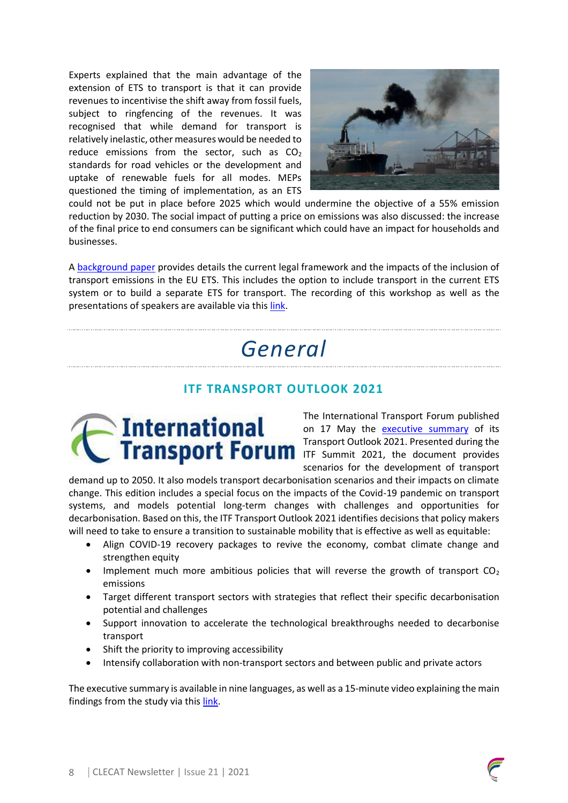Experts explained that the main advantage of the extension of ETS to transport is that it can provide revenues to incentivise the shift away from fossil fuels, subject to ringfencing of the revenues. It was recognised that while demand for transport is relatively inelastic, other measures would be needed to reduce emissions from the sector, such as  $CO<sub>2</sub>$ standards for road vehicles or the development and uptake of renewable fuels for all modes. MEPs questioned the timing of implementation, as an ETS



could not be put in place before 2025 which would undermine the objective of a 55% emission reduction by 2030. The social impact of putting a price on emissions was also discussed: the increase of the final price to end consumers can be significant which could have an impact for households and businesses.

A [background paper](https://www.europarl.europa.eu/cmsdata/233840/Extension-ETS-transport_background-paper_edited.pdf) provides details the current legal framework and the impacts of the inclusion of transport emissions in the EU ETS. This includes the option to include transport in the current ETS system or to build a separate ETS for transport. The recording of this workshop as well as the presentations of speakers are available via this [link.](https://www.europarl.europa.eu/committees/en/product/product-details/20210511WKS03563)

# *General*

### **ITF TRANSPORT OUTLOOK 2021**



The International Transport Forum published on 17 May the <u>[executive summary](https://www.itf-oecd.org/sites/default/files/transport-outlook-executive-summary-2021-english.pdf)</u> of its Transport Outlook 2021. Presented during the ITF Summit 2021, the document provides scenarios for the development of transport

demand up to 2050. It also models transport decarbonisation scenarios and their impacts on climate change. This edition includes a special focus on the impacts of the Covid-19 pandemic on transport systems, and models potential long-term changes with challenges and opportunities for decarbonisation. Based on this, the ITF Transport Outlook 2021 identifies decisions that policy makers will need to take to ensure a transition to sustainable mobility that is effective as well as equitable:

- Align COVID-19 recovery packages to revive the economy, combat climate change and strengthen equity
- Implement much more ambitious policies that will reverse the growth of transport  $CO<sub>2</sub>$ emissions
- Target different transport sectors with strategies that reflect their specific decarbonisation potential and challenges
- Support innovation to accelerate the technological breakthroughs needed to decarbonise transport
- Shift the priority to improving accessibility
- Intensify collaboration with non-transport sectors and between public and private actors

The executive summary is available in nine languages, as well as a 15-minute video explaining the main findings from the study via thi[s link.](https://www.itf-oecd.org/itf-transport-outlook-2021)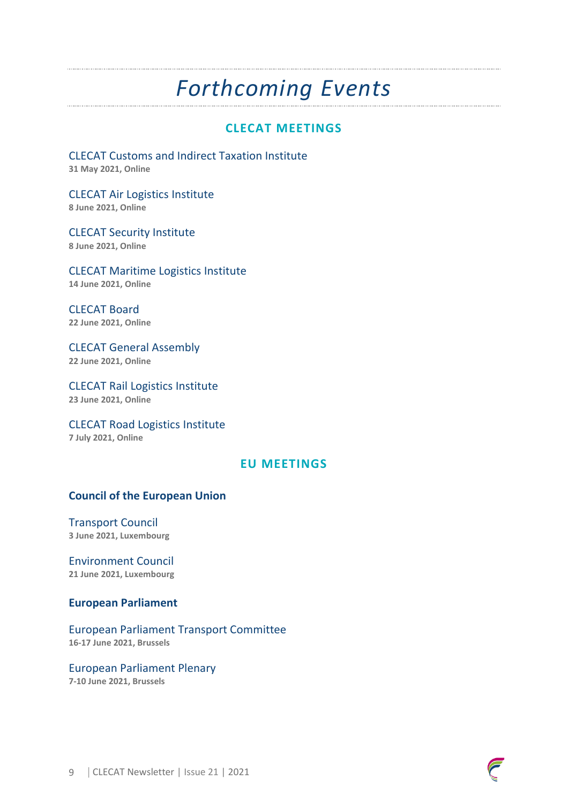## *Forthcoming Events*

### **CLECAT MEETINGS**

CLECAT Customs and Indirect Taxation Institute **31 May 2021, Online**

CLECAT Air Logistics Institute **8 June 2021, Online**

CLECAT Security Institute **8 June 2021, Online**

CLECAT Maritime Logistics Institute **14 June 2021, Online**

CLECAT Board **22 June 2021, Online**

CLECAT General Assembly **22 June 2021, Online**

CLECAT Rail Logistics Institute **23 June 2021, Online**

CLECAT Road Logistics Institute **7 July 2021, Online**

#### **EU MEETINGS**

#### **Council of the European Union**

Transport Council **3 June 2021, Luxembourg**

Environment Council **21 June 2021, Luxembourg**

#### **European Parliament**

European Parliament Transport Committee **16-17 June 2021, Brussels**

European Parliament Plenary

**7-10 June 2021, Brussels**